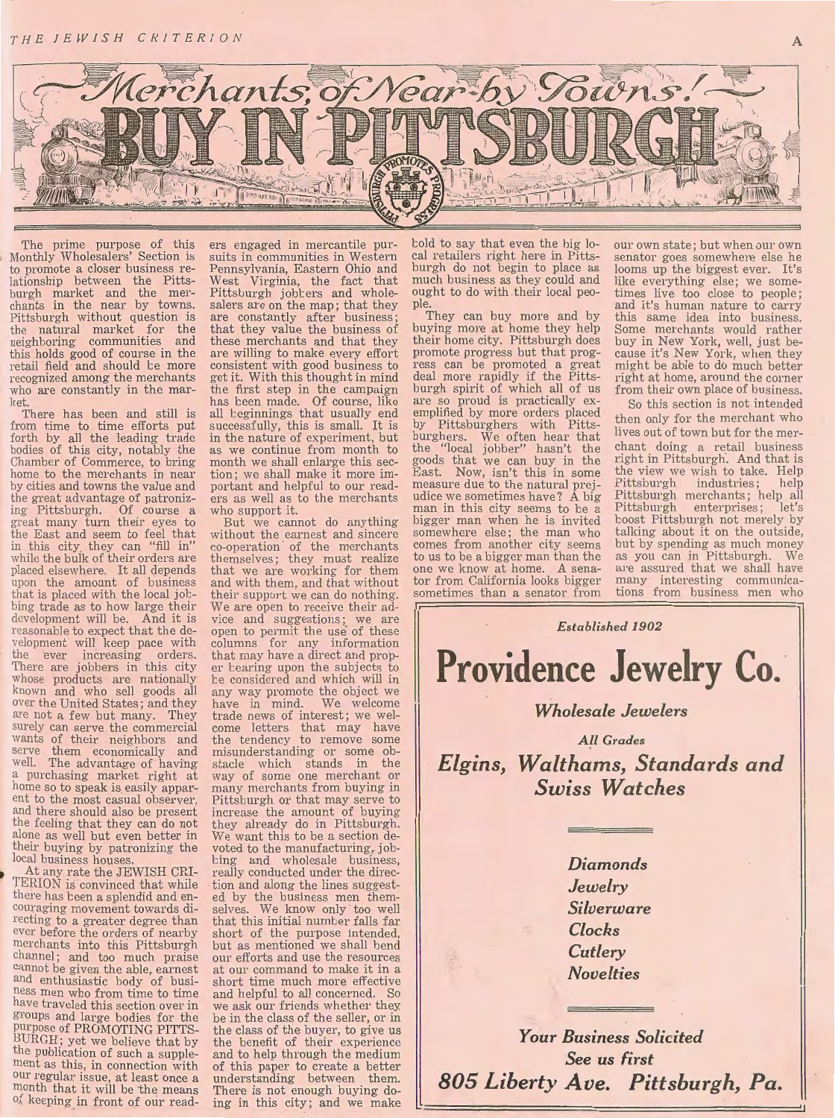THE JEW ISH CRITERION



The prime purpose of this Monthly Wholesalers' Section is to promote a closer business re-<br>lationship between the Pitts-<br>burgh market and the merhants in the near by towns. Pittsburgh without question is the natural market for the neighboring communities and this holds good of course in the retail field and should be more recognized among the merchants who are constantly in the market.

There has been and still is from time to time efforts put forth by all the leading trade bodies of this city, notably the Chamber of Commerce, to bring home to the merchants in near by cities and towns the value and the great advantage of patronizing Pittsburgh. Of course a great many turn their eyes to the East and seem to feel that in this city they can "fill in" while the bulk of their orders are placed elsewhere. It all depends upon the amount of business that is placed with the local job- bing trade as to how large their bing trade as to how large their<br>development will be. And it is<br>reasonable to expect that the development will keep pace with the ever increasing orders.<br>There are jobbers in this city whose products are nationally known and who sell goods all over the United States; and they are not a few but many. They surely can serve the commercial wants of their neighbors and serve them economically and well. The advantage of having a purchasing market right at home so to speak is easily apparent to the most casual observer, and there should also be present the feeling that they can do not alone as well but even better in their buying by patronizing the<br>local business houses.<br>At any rate the JEWISH CRI-TERION is convinced that while

local business houses.<br>At any rate the JEWISH CRI-TERION is convinced that while there has been a splendid and en-<br>couraging movement towards directing to a greater degree than ever before the orders of nearby merchants into this Pittsburgh channel; and too much praise cannot be given the able, earnest and enthusiastic body of business men who from time to time have traveled this section over in groups and large bodies for the purpose of PROMOTING PITTS- $BURGH$ ; yet we believe that by the publication of such a supplement as this, in connection with our regular issue, at least once a month that it will be the means of keeping in front of our readers engaged in mercantile pursuits in communities in Western Pennsylvania, Eastern Ohio and West Virginia, the fact that Pittsburgh jobbers and wholesalers are on the map; that they are constantly after business; that they value the business of these merchants and that they are willing to make every effort consistent with good business to get it. With this thought in mind the first step in the campaign has been made. Of course, like all beginnings that usually end successfully, this is small. It is in the nature of experiment, but as we continue from month to tion; we shall make it more important and helpful to our read-<br>ers as well as to the merchants who support it.

But we cannot do anything without the earnest and sincere co-operation of the merchants themselves; they must realize that we are working for them and with them, and that without their support we can do nothing. We are open to receive their advice and suggestions; we are open to permit the use of these columns for any information that may have a direct and proper tearing upon the subjects to te considered and which will in any way promote the object we have in mind. We welcome trade news of interest; we welcome letters that may have the tendency to remove some misunderstanding or some obstacle which stands in the way of some one merchant or many merchants from buying in Pittsburgh or that may serve to increase the amount of buying they already do in Pittsburgh. We want this to be a section devoted to the manufacturing, job-<br>bing and wholesale business, really conducted under the direction and along the lines suggest-<br>ed by the business men them-<br>selves. We know only too well We know only too well that this initial number falls far short of the purpose intended, but as mentioned we shall bend our efforts and use the resources at our command to make it in a short time much more effective and helpful to all concerned. So we ask our friends whether they be in the class of the seller, or in the class of the buyer, to give us the benefit of their experience and to help through the medium of this paper to create a better understanding between them. There is not enough buying do-<br>ing in this city; and we make

told to say that even the big local retailers right here in Pittsburgh do not begin to place as much business as they could and ought to do with their local people.

They can buy more and by buying more at home they help their home city. Pittsburgh does promote progress but that progress can be promoted a great deal more rapidly if the Pittsburgh spirit of which all of us are so proud is practically exemplified by more orders placed<br>by Pittsburghers with Pittsby Pittsburghers with Pitts-<br>burghers. We often hear that the "local jobber" hasn't the goods that we can buy in the East. Now, isn't this in some measure due to the natural prejudice we sometimes have? A big man in this city seems to be a bigger man when he is invited somewhere else; the man who comes from another city seems to us to be a bigger man than the one we know at home. A sena-<br>tor from California looks bigger sometimes than a senator from our own state; but when our own senator goes somewhere else he looms up the biggest ever. It's like everything else; we sometimes live too close to people; and it's human nature to carry this same idea into business. Some merchants would rather buy in New York, well, just because it's New York, when they might be able to do much better right at home, around the corner from their own place of business.

A

So this section is not intended then only for the merchant who lives out of town but for the merchant doing a retail business right in Pittsburgh. And that is the view we wish to take. Help Pittsburgh industries; help Pittsburgh merchants; help all Pittsburgh enterprises; let's t oost Pittsbmgh not merely by talking about it on the outside, but by spending as much money<br>as you can in Pittsburgh We as you can in Pittsburgh. are assured that we shall have many interesting communications from business men who

*Established 1902*  **Providence Jewelry Co.** 

### *Wholesale Jewelers*

*All Grades Elgins, Waft hams, Standards and Swiss Watches* 

> *Diamonds Jewelry Silverware Clocks Cutlery Novelties*

*Your Business Solicited See us first 805 Liberty Ave. Pittsburgh, Pa.*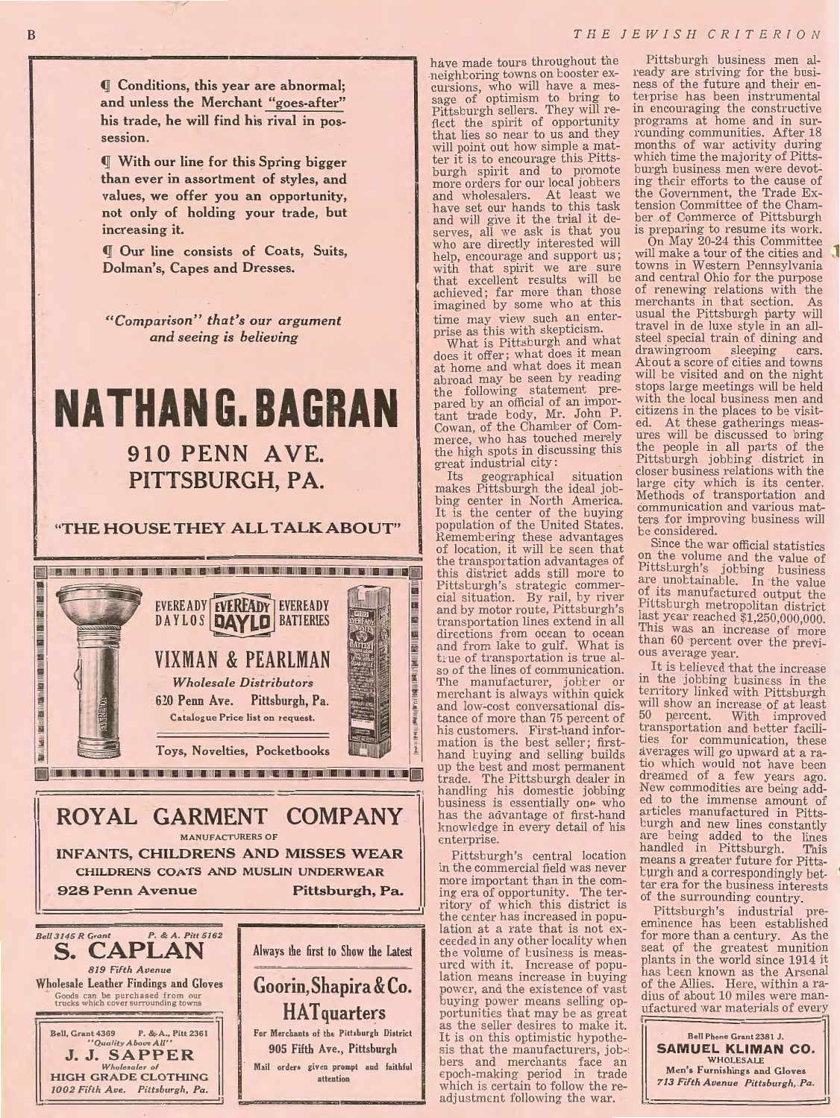(jj Conditions, this year are abnormal; and unless the Merchant "goes-after" his trade, he will find his rival in possession.

(jj With our line for this Spring bigger than ever in assortment of styles, and values, we offer you an opportunity, not only of holding your trade, but increasing it.

*I Our line consists of Coats, Suits,* Dolman's, Capes and Dresses.

*"C omparzson* . " *t h at* ' *s our argument and seeing is believing* 

## **NATHAN G. BAGRAN**  910 PENN AVE. PITTSBURGH, PA.

### "THE HOUSE THEY ALL TALK ABOUT"



ROYAL GARMENT COMPANY MANUFACTURERS OF INFANTS, CHILDRENS AND MISSES WEAR CHILDRENS COATS AND MUSLIN UNDERWEAR 928 Penn Avenue *Bel/3145 R Grant P.* & *A. Pitt 5162*  Pittsburgh, Pa.



have made tours throughout the neighboring towns on booster ex-<br>cursions, who will have a mes-<br>sage of optimism to bring to Pittsburgh sellers. They will reflect the spirit of opportunity that lies so near to us and they will point out how simple a matter it is to encourage this Pittsburgh spirit and to promote more orders for our local jobbers and wholesalers. At least we have set our hands to this task and will give it the trial it deserves, all we ask is that you who are directly interested will help, encourage and support us; with that spirit we are sure that excellent results will be achieved; far more than those imagined by some who at this time may view such an enter-<br>prise as this with skepticism.

What is Pittsburgh and what does it offer; what does it mean at home and what does it mean abroad may be seen by reading<br>the following statement prepared by an official of an important trade body, Mr. John P. Cowan, of the Chamter of Commerce, who has touched merely the high spots in discussing this great industrial city:<br>Its geographical

Its geographical situation makes Pittsburgh the ideal job-It is the center of the buying population of the United States. Remembering these advantages of location, it will be seen that the transportation advantages of this district adds still more to Pittsburgh's strategic commercial situation. By rail, by river and by motor route, Pittsburgh's transportation lines extend in all directions from ocean to ocean and from lake to gulf. What is <sup>L</sup>ue of transportation is true al- so of the lines of communication. The manufacturer, jobter or merchant is always within quick and low-cost conversational dis-<br>tance of more than 75 percent of<br>his customers. First-hand inforhis customers. First-hand information is the best seller; firsthand tuying and selling builds up the best and most permanent trade. The Pittsburgh dealer in handling his domestic jobbing business is essentially one who has the advantage of first-hand knowledge in every detail of his enterprise.

Pittsburgh's central location in the commercial field was never more important than in the coming era of opportunity. The ter- ritory of which this district is the center has increased in population at a rate that is not exceeded in any other locality when the volume of business is measured with it. Increase of popu-<br>lation means increase in buying power, and the existence of vast buying power means selling opportunities that may be as great<br>as the seller desires to make it. It is on this optimistic hypothesis that the manufacturers, jobsis that the manufacturers, job-<br>bers and merchants face an epoch-making period in trade which is certain to follow the readjustment following the war.

Pittsburgh business men already are striving for the business of the future and their enterprise has been instrumental in encouraging the constructive programs at home and in surrounding communities. After 18 months of war activity during which time the majority of Pittsburgh business men were devoting their efforts to the cause of the Government, the Trade Extension Committee of the Chamber of Commerce of Pittsburgh is preparing to resume its work.

On May 20-24 this Committee will make a tour of the cities and<br>towns in Western Pennsylvania and central Ohio for the purpose of renewing relations with the merchants in that section. As usual the Pittsburgh party will travel in de luxe style in an all-<br>steel special train of dining and<br>drawingroom sleeping cars. drawingroom sleeping cars. About a score of cities and towns will be visited and on the night stops large meetings will be held with the local business men and citizens .in the places to be visited. At these gatherings measures will be discussed to bring<br>the people in all parts of the Pittsburgh jobbing district in closer business relations with the large city which is its center. Methods of transportation and communication and various matters for improving business will be considered.

Since the war official statistics on the volume and the value of Pittsburgh's jobbing business are unottainable. In the value of its manufactured output the Pittsburgh metropolitan district last year reached  $$1,250,000,000$ . This was an increase of more than 60 percent over the previous average year.

It is believed that the increase in the jobbing business in the territory linked with Pittsburgh will show an mcrease of at least 50 percent. With improved transportation and better facilities for communication, these averages will go upward at a ratio which would not have been dreamed of a few years ago. New commodities are being added to the immense amount of articles manufactured in Pittsburgh and new lines constantly are being added to the lines handled in Pittsburgh. This means a greater future for Pittsturgh and a correspondingly better era for the business interests of the surrounding country.

Pittsburgh's industrial preemmence has been established for more than a century. As the seat of the greatest munition plants in the world since 1914 it has teen known as the Arsenal of the Allies. Here, within a radius of about 10 miles were manufactured war materials of every



'I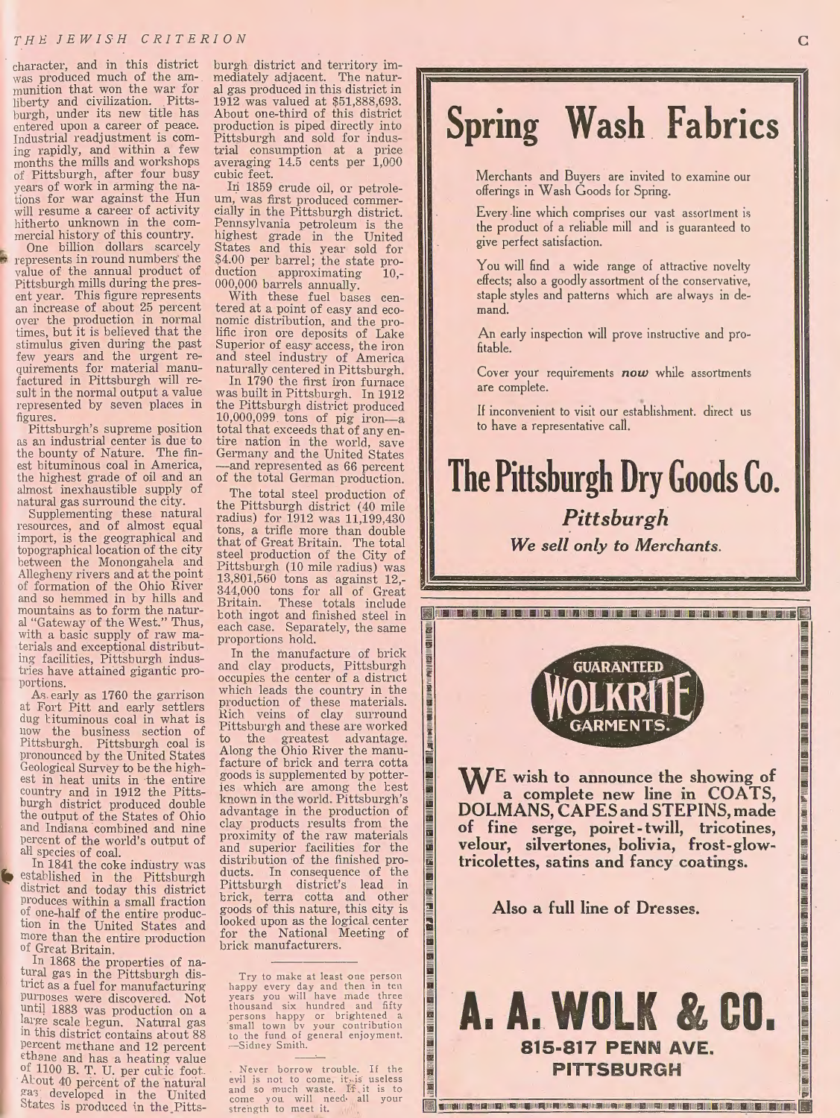character, and in this district was produced much of the am- munition that won the war for liberty and civilization. Pitts-<br>burgh, under its new title has entered upon a career of peace.<br>Industrial readjustment is com-<br>ing rapidly, and within a few ing rapidly, and within a few months the mills and workshops of Pittsburgh, after four busy years of work in arming the nations for war against the Hun will resume a career of activity hitherto unknown in the com-

mercial history of this country.<br>One billion dollars scarcely represents in round numbers the value of the annual product of Pittsburgh mills during the pres-<br>ent year. This figure represents an increase of about 25 percent over the production in normal times, but it is believed that the stimulus given during the past<br>few years and the urgent requirements for material manu-<br>factured in Pittsburgh will re-<br>sult in the normal output a value represented by seven places in figures.<br>Pittsburgh's supreme position

as an industrial center is due to the bounty of Nature. The finest bituminous coal in America, the highest grade of oil and an almost inexhaustible supply of natural gas surround the city. natural gas surround the city. Supplementing these natural

resources, and of almost equal import, is the geographical and topographical location of the city between the Monongahela and Allegheny rivers and at the point of formation of the Ohio River and so hemmed in by hills and al "Gateway of the West." Thus, with a basic supply of raw materials and exceptional distributing facilities, Pittsburgh indus-<br>tries have attained gigantic pro-<br>portions.

As early as 1760 the garrison at Fort Pitt and early settlers dug kituminous coal in what is now the business section of Pittsburgh. Pittsburgh coal is pronounced by the United States Geological Survey to be the highest in heat units in the entire country and in 1912 the Pittsburgh district produced double the output of the States of Ohio and Indiana combined and nine percent of the world's output of<br>all\_species of coal.

In 1841 the coke industry was established in the Pittsburgh district and today this district produces within a small fraction *of.* one-half of the entire production in the United States and more than the entire production of Great Britain.

In 1868 the properties of natural gas in the Pittsburgh district as a fuel for manufacturing<br>purposes were discovered. Not unti) 1883 was production on a large scale begun. Natural gas <sup>1n</sup> this district contains about 88 percent methane and 12 percent ethane and has a heating value of 1100 B. T. U. per cutic foot. About 40 percent of the natural  $\frac{\text{gas}}{\text{gas}}$  developed in the United States is produced in the Pitts-

burgh district and territory immediately adjacent. The natural gas produced in this district in 1912 was valued at \$51,888,693. About one-third of this district production is piped directly into Pittsburgh and sold for indus- trial consumption at a price averaging 14.5 cents per 1,000 cubic feet.

In 1859 crude oil, or petrole-<br>um, was first produced commer-<br>cially in the Pittsburgh district. Pennsylvania petroleum is the highest grade in the United States and this year sold for \$4.00 per barrel; the state production approximating 10,-000,000 barrels annually.

With these fuel bases centered at a point of easy and economic distribution, and the prolific iron ore deposits of Lake Superior of easy· access, the iron and steel industry of America

naturally centered in Pittsburgh. In 1790 the first iron fumace was built in Pittsburgh. In 1912 the Pittsburgh district produced  $10,000,099$  tons of pig iron—a total that exceeds that of any entire nation in the world, save Germany and the United States -and represented as 66 percent of the total German production.

The total steel production of the Pittsburgh district ( 40 mile radius) for 1912 was 11,199,430 tons, a trifle more than double that of Great Britain. The total steel production of the City of Pittsburgh (10 mile radius) was 13,801,560 tons as against 12,- 344,000 tons for all of Great Britain. These totals include toth ingot and finished steel in each case. Separately, the same proportions hold.

西川路川

<u>is im sine ins messing in sine ins ins ins ins ins ins ins ins</u>

In the manufacture of brick and clay products, Pittsburgh occupies the center of a district which leads the country in the production of these materials.<br>Rich veins of clay surround Pittsburgh and these are worked to the greatest advantage. facture of brick and terra cotta goods is supplemented by potteries which are among the best known in the world. Pittsburgh's advantage in the production of clay products results from the proximity of the raw materials and superior facilities for the distribution of the finished products. In consequence of the Pittsburgh district's lead in brick, terra cotta and other goods of this nature, this city is looked upon as the logical center for the National Meeting of brick manufacturers.

Try to make at least one person happy every day and then in ten years you will have made three thousand six hundred and fifty<br>persons happy or brightened a<br>small town bv your contribution<br>to the fund of general enjoyment.<br>--Sidney Smith.

Never borrow trouble. If the evil is not to come, it is useless and so much waste. If it is to come you will need-all your strength to meet it.

# **Spring Wash Fabrics**

Merchants and Buyers are invited to examine our offerings in Wash Goods for Spring.

Every line which comprises our vast assortment is the product of a reliable mill and is guaranteed to give perfect satisfaction.

You will find a wide range of attractive novelty effects; also a goodly assortment of the conservative, staple styles and patterns which are always in demand.

An early inspection will prove instructive and profitable.

Cover your requirements *now* while assortments are complete.

If inconvenient to visit our establishment. direct us to have a representative call.

## **The Pittsburgh Dry Goods Co.**  *Pittsburgh*

*We sell only to Merchants.* 

**A service and all the time time and all the time and time and time and time and time and time and time and a se** 

**GUARANTEED** 



Also a full line of Dresses.

## A. A. WOLK & CO. **815-817 PENN AVE. PITTSBURGH**

**The Company of Party and Company of Company and Company and Company of Company of Company of Company of Company of Co** 

**DAMINICATE**